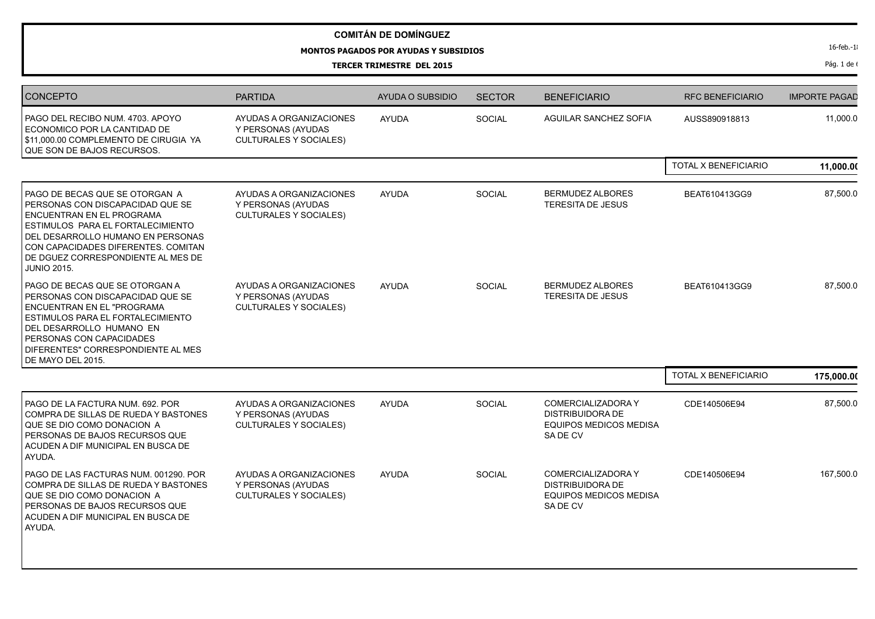## **MONTOS PAGADOS POR AYUDAS Y SUBSIDIOS**

**TERCER TRIMESTRE DEL 2015**

Pág. 1 de  $($ 

| <b>CONCEPTO</b>                                                                                                                                                                                                                                                                              | <b>PARTIDA</b>                                                                 | AYUDA O SUBSIDIO | <b>SECTOR</b> | <b>BENEFICIARIO</b>                                                                              | <b>RFC BENEFICIARIO</b> | <b>IMPORTE PAGAD</b> |
|----------------------------------------------------------------------------------------------------------------------------------------------------------------------------------------------------------------------------------------------------------------------------------------------|--------------------------------------------------------------------------------|------------------|---------------|--------------------------------------------------------------------------------------------------|-------------------------|----------------------|
| PAGO DEL RECIBO NUM. 4703. APOYO<br>ECONOMICO POR LA CANTIDAD DE<br>\$11,000.00 COMPLEMENTO DE CIRUGIA YA<br>QUE SON DE BAJOS RECURSOS.                                                                                                                                                      | AYUDAS A ORGANIZACIONES<br>Y PERSONAS (AYUDAS<br><b>CULTURALES Y SOCIALES)</b> | <b>AYUDA</b>     | SOCIAL        | AGUILAR SANCHEZ SOFIA                                                                            | AUSS890918813           | 11,000.0             |
|                                                                                                                                                                                                                                                                                              |                                                                                |                  |               |                                                                                                  | TOTAL X BENEFICIARIO    | 11,000.00            |
| l PAGO DE BECAS QUE SE OTORGAN A<br>PERSONAS CON DISCAPACIDAD QUE SE<br><b>ENCUENTRAN EN EL PROGRAMA</b><br><b>ESTIMULOS PARA EL FORTALECIMIENTO</b><br>DEL DESARROLLO HUMANO EN PERSONAS<br>CON CAPACIDADES DIFERENTES, COMITAN<br>DE DGUEZ CORRESPONDIENTE AL MES DE<br><b>JUNIO 2015.</b> | AYUDAS A ORGANIZACIONES<br>Y PERSONAS (AYUDAS<br><b>CULTURALES Y SOCIALES)</b> | <b>AYUDA</b>     | SOCIAL        | <b>BERMUDEZ ALBORES</b><br>TERESITA DE JESUS                                                     | BEAT610413GG9           | 87,500.0             |
| l PAGO DE BECAS QUE SE OTORGAN A<br>PERSONAS CON DISCAPACIDAD QUE SE<br>ENCUENTRAN EN EL "PROGRAMA<br><b>ESTIMULOS PARA EL FORTALECIMIENTO</b><br>I DEL DESARROLLO HUMANO EN<br>PERSONAS CON CAPACIDADES<br>DIFERENTES" CORRESPONDIENTE AL MES<br>DE MAYO DEL 2015.                          | AYUDAS A ORGANIZACIONES<br>Y PERSONAS (AYUDAS<br><b>CULTURALES Y SOCIALES)</b> | <b>AYUDA</b>     | SOCIAL        | <b>BERMUDEZ ALBORES</b><br><b>TERESITA DE JESUS</b>                                              | BEAT610413GG9           | 87,500.0             |
|                                                                                                                                                                                                                                                                                              |                                                                                |                  |               |                                                                                                  | TOTAL X BENEFICIARIO    | 175,000.00           |
| PAGO DE LA FACTURA NUM. 692. POR<br>COMPRA DE SILLAS DE RUEDA Y BASTONES<br>QUE SE DIO COMO DONACION A<br>I PERSONAS DE BAJOS RECURSOS QUE<br>ACUDEN A DIF MUNICIPAL EN BUSCA DE<br>AYUDA.                                                                                                   | AYUDAS A ORGANIZACIONES<br>Y PERSONAS (AYUDAS<br><b>CULTURALES Y SOCIALES)</b> | <b>AYUDA</b>     | SOCIAL        | COMERCIALIZADORA Y<br><b>DISTRIBUIDORA DE</b><br><b>EQUIPOS MEDICOS MEDISA</b><br>SADE CV        | CDE140506E94            | 87,500.0             |
| PAGO DE LAS FACTURAS NUM. 001290. POR<br>COMPRA DE SILLAS DE RUEDA Y BASTONES<br>QUE SE DIO COMO DONACION A<br>PERSONAS DE BAJOS RECURSOS QUE<br>ACUDEN A DIF MUNICIPAL EN BUSCA DE<br>AYUDA.                                                                                                | AYUDAS A ORGANIZACIONES<br>Y PERSONAS (AYUDAS<br><b>CULTURALES Y SOCIALES)</b> | <b>AYUDA</b>     | SOCIAL        | <b>COMERCIALIZADORA Y</b><br><b>DISTRIBUIDORA DE</b><br><b>EQUIPOS MEDICOS MEDISA</b><br>SADE CV | CDE140506E94            | 167,500.0            |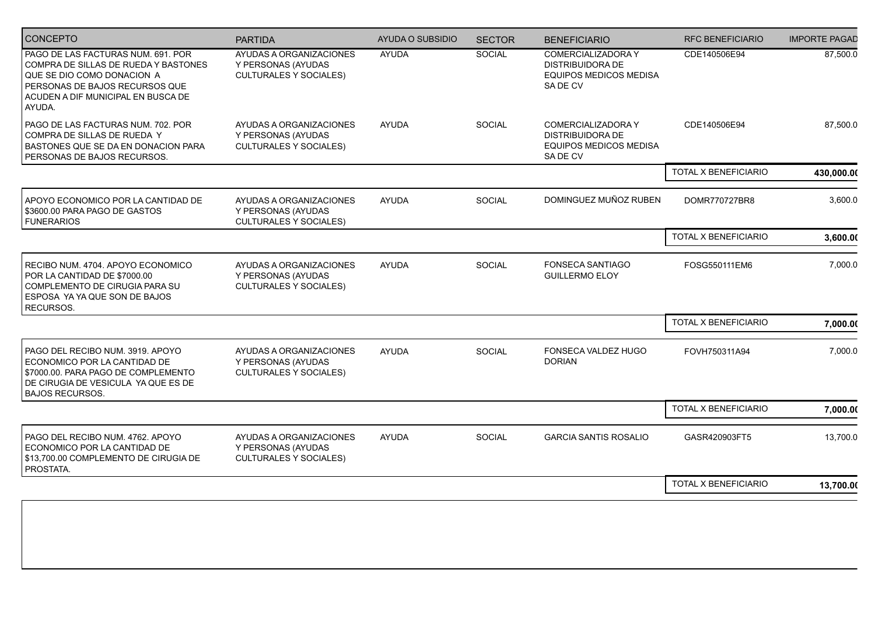| <b>CONCEPTO</b>                                                                                                                                                                            | <b>PARTIDA</b>                                                                 | AYUDA O SUBSIDIO | <b>SECTOR</b> | <b>BENEFICIARIO</b>                                                                              | <b>RFC BENEFICIARIO</b> | <b>IMPORTE PAGAD</b> |
|--------------------------------------------------------------------------------------------------------------------------------------------------------------------------------------------|--------------------------------------------------------------------------------|------------------|---------------|--------------------------------------------------------------------------------------------------|-------------------------|----------------------|
| PAGO DE LAS FACTURAS NUM. 691. POR<br>COMPRA DE SILLAS DE RUEDA Y BASTONES<br>QUE SE DIO COMO DONACION A<br>PERSONAS DE BAJOS RECURSOS QUE<br>ACUDEN A DIF MUNICIPAL EN BUSCA DE<br>AYUDA. | AYUDAS A ORGANIZACIONES<br>Y PERSONAS (AYUDAS<br><b>CULTURALES Y SOCIALES)</b> | <b>AYUDA</b>     | SOCIAL        | <b>COMERCIALIZADORA Y</b><br><b>DISTRIBUIDORA DE</b><br><b>EQUIPOS MEDICOS MEDISA</b><br>SADE CV | CDE140506E94            | 87,500.0             |
| PAGO DE LAS FACTURAS NUM. 702. POR<br>COMPRA DE SILLAS DE RUEDA Y<br>BASTONES QUE SE DA EN DONACION PARA<br>PERSONAS DE BAJOS RECURSOS.                                                    | AYUDAS A ORGANIZACIONES<br>Y PERSONAS (AYUDAS<br><b>CULTURALES Y SOCIALES)</b> | <b>AYUDA</b>     | SOCIAL        | COMERCIALIZADORA Y<br><b>DISTRIBUIDORA DE</b><br><b>EQUIPOS MEDICOS MEDISA</b><br>SADE CV        | CDE140506E94            | 87,500.0             |
|                                                                                                                                                                                            |                                                                                |                  |               |                                                                                                  | TOTAL X BENEFICIARIO    | 430,000.00           |
| APOYO ECONOMICO POR LA CANTIDAD DE<br>\$3600.00 PARA PAGO DE GASTOS<br><b>FUNERARIOS</b>                                                                                                   | AYUDAS A ORGANIZACIONES<br>Y PERSONAS (AYUDAS<br><b>CULTURALES Y SOCIALES)</b> | <b>AYUDA</b>     | SOCIAL        | DOMINGUEZ MUÑOZ RUBEN                                                                            | DOMR770727BR8           | 3,600.0              |
|                                                                                                                                                                                            |                                                                                |                  |               |                                                                                                  | TOTAL X BENEFICIARIO    | 3,600.00             |
| RECIBO NUM. 4704. APOYO ECONOMICO<br>POR LA CANTIDAD DE \$7000.00<br>COMPLEMENTO DE CIRUGIA PARA SU<br>ESPOSA YA YA QUE SON DE BAJOS<br>RECURSOS.                                          | AYUDAS A ORGANIZACIONES<br>Y PERSONAS (AYUDAS<br><b>CULTURALES Y SOCIALES)</b> | <b>AYUDA</b>     | <b>SOCIAL</b> | <b>FONSECA SANTIAGO</b><br><b>GUILLERMO ELOY</b>                                                 | FOSG550111EM6           | 7,000.0              |
|                                                                                                                                                                                            |                                                                                |                  |               |                                                                                                  | TOTAL X BENEFICIARIO    | 7,000.00             |
| PAGO DEL RECIBO NUM. 3919. APOYO<br>ECONOMICO POR LA CANTIDAD DE<br>\$7000.00. PARA PAGO DE COMPLEMENTO<br>DE CIRUGIA DE VESICULA YA QUE ES DE<br><b>BAJOS RECURSOS.</b>                   | AYUDAS A ORGANIZACIONES<br>Y PERSONAS (AYUDAS<br><b>CULTURALES Y SOCIALES)</b> | <b>AYUDA</b>     | <b>SOCIAL</b> | FONSECA VALDEZ HUGO<br><b>DORIAN</b>                                                             | FOVH750311A94           | 7,000.0              |
|                                                                                                                                                                                            |                                                                                |                  |               |                                                                                                  | TOTAL X BENEFICIARIO    | 7,000.00             |
| PAGO DEL RECIBO NUM. 4762. APOYO<br>ECONOMICO POR LA CANTIDAD DE<br>\$13,700.00 COMPLEMENTO DE CIRUGIA DE<br>PROSTATA.                                                                     | AYUDAS A ORGANIZACIONES<br>Y PERSONAS (AYUDAS<br><b>CULTURALES Y SOCIALES)</b> | <b>AYUDA</b>     | <b>SOCIAL</b> | <b>GARCIA SANTIS ROSALIO</b>                                                                     | GASR420903FT5           | 13,700.0             |
|                                                                                                                                                                                            |                                                                                |                  |               |                                                                                                  | TOTAL X BENEFICIARIO    | 13,700.00            |
|                                                                                                                                                                                            |                                                                                |                  |               |                                                                                                  |                         |                      |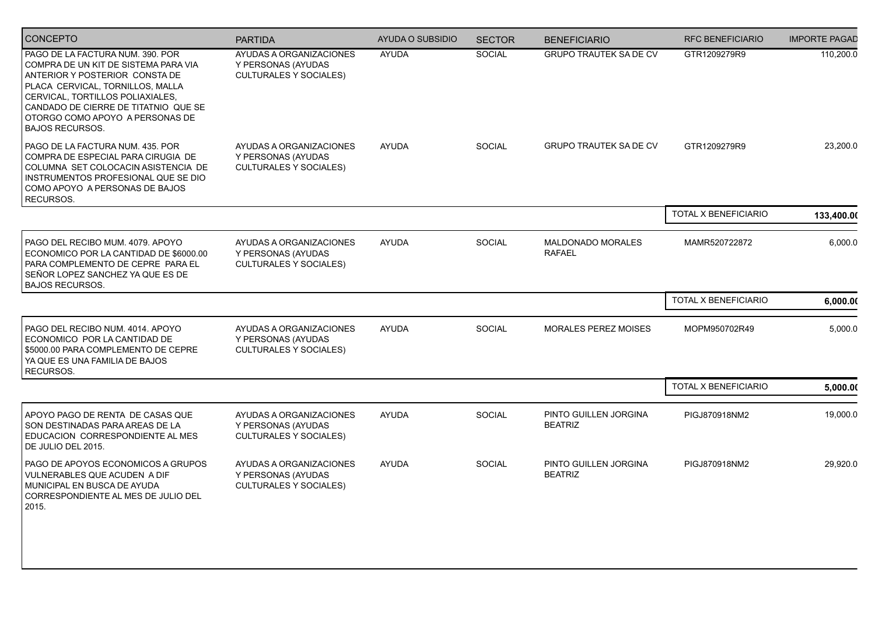| CONCEPTO                                                                                                                                                                                                                                                                                | <b>PARTIDA</b>                                                                 | AYUDA O SUBSIDIO | <b>SECTOR</b> | <b>BENEFICIARIO</b>                     | <b>RFC BENEFICIARIO</b> | <b>IMPORTE PAGAD</b> |
|-----------------------------------------------------------------------------------------------------------------------------------------------------------------------------------------------------------------------------------------------------------------------------------------|--------------------------------------------------------------------------------|------------------|---------------|-----------------------------------------|-------------------------|----------------------|
| PAGO DE LA FACTURA NUM. 390. POR<br>COMPRA DE UN KIT DE SISTEMA PARA VIA<br>ANTERIOR Y POSTERIOR CONSTA DE<br>PLACA CERVICAL, TORNILLOS, MALLA<br>CERVICAL, TORTILLOS POLIAXIALES,<br>CANDADO DE CIERRE DE TITATNIO QUE SE<br>OTORGO COMO APOYO A PERSONAS DE<br><b>BAJOS RECURSOS.</b> | AYUDAS A ORGANIZACIONES<br>Y PERSONAS (AYUDAS<br><b>CULTURALES Y SOCIALES)</b> | <b>AYUDA</b>     | <b>SOCIAL</b> | <b>GRUPO TRAUTEK SA DE CV</b>           | GTR1209279R9            | 110,200.0            |
| PAGO DE LA FACTURA NUM. 435. POR<br>COMPRA DE ESPECIAL PARA CIRUGIA DE<br>COLUMNA SET COLOCACIN ASISTENCIA DE<br>INSTRUMENTOS PROFESIONAL QUE SE DIO<br>COMO APOYO A PERSONAS DE BAJOS<br>RECURSOS.                                                                                     | AYUDAS A ORGANIZACIONES<br>Y PERSONAS (AYUDAS<br><b>CULTURALES Y SOCIALES)</b> | <b>AYUDA</b>     | SOCIAL        | <b>GRUPO TRAUTEK SA DE CV</b>           | GTR1209279R9            | 23,200.0             |
|                                                                                                                                                                                                                                                                                         |                                                                                |                  |               |                                         | TOTAL X BENEFICIARIO    | 133,400.00           |
| PAGO DEL RECIBO MUM. 4079. APOYO<br>ECONOMICO POR LA CANTIDAD DE \$6000.00<br>PARA COMPLEMENTO DE CEPRE PARA EL<br>SEÑOR LOPEZ SANCHEZ YA QUE ES DE<br><b>BAJOS RECURSOS.</b>                                                                                                           | AYUDAS A ORGANIZACIONES<br>Y PERSONAS (AYUDAS<br><b>CULTURALES Y SOCIALES)</b> | <b>AYUDA</b>     | SOCIAL        | MALDONADO MORALES<br><b>RAFAEL</b>      | MAMR520722872           | 6,000.0              |
|                                                                                                                                                                                                                                                                                         |                                                                                |                  |               |                                         | TOTAL X BENEFICIARIO    | 6,000.00             |
| PAGO DEL RECIBO NUM. 4014. APOYO<br>ECONOMICO POR LA CANTIDAD DE<br>\$5000.00 PARA COMPLEMENTO DE CEPRE<br>YA QUE ES UNA FAMILIA DE BAJOS<br>RECURSOS.                                                                                                                                  | AYUDAS A ORGANIZACIONES<br>Y PERSONAS (AYUDAS<br><b>CULTURALES Y SOCIALES)</b> | <b>AYUDA</b>     | SOCIAL        | MORALES PEREZ MOISES                    | MOPM950702R49           | 5,000.0              |
|                                                                                                                                                                                                                                                                                         |                                                                                |                  |               |                                         | TOTAL X BENEFICIARIO    | 5,000.00             |
| APOYO PAGO DE RENTA DE CASAS QUE<br>SON DESTINADAS PARA AREAS DE LA<br>EDUCACION CORRESPONDIENTE AL MES<br>DE JULIO DEL 2015.                                                                                                                                                           | AYUDAS A ORGANIZACIONES<br>Y PERSONAS (AYUDAS<br><b>CULTURALES Y SOCIALES)</b> | <b>AYUDA</b>     | SOCIAL        | PINTO GUILLEN JORGINA<br><b>BEATRIZ</b> | PIGJ870918NM2           | 19,000.0             |
| PAGO DE APOYOS ECONOMICOS A GRUPOS<br>VULNERABLES QUE ACUDEN A DIF<br>MUNICIPAL EN BUSCA DE AYUDA<br>CORRESPONDIENTE AL MES DE JULIO DEL<br>2015.                                                                                                                                       | AYUDAS A ORGANIZACIONES<br>Y PERSONAS (AYUDAS<br><b>CULTURALES Y SOCIALES)</b> | <b>AYUDA</b>     | <b>SOCIAL</b> | PINTO GUILLEN JORGINA<br><b>BEATRIZ</b> | PIGJ870918NM2           | 29,920.0             |
|                                                                                                                                                                                                                                                                                         |                                                                                |                  |               |                                         |                         |                      |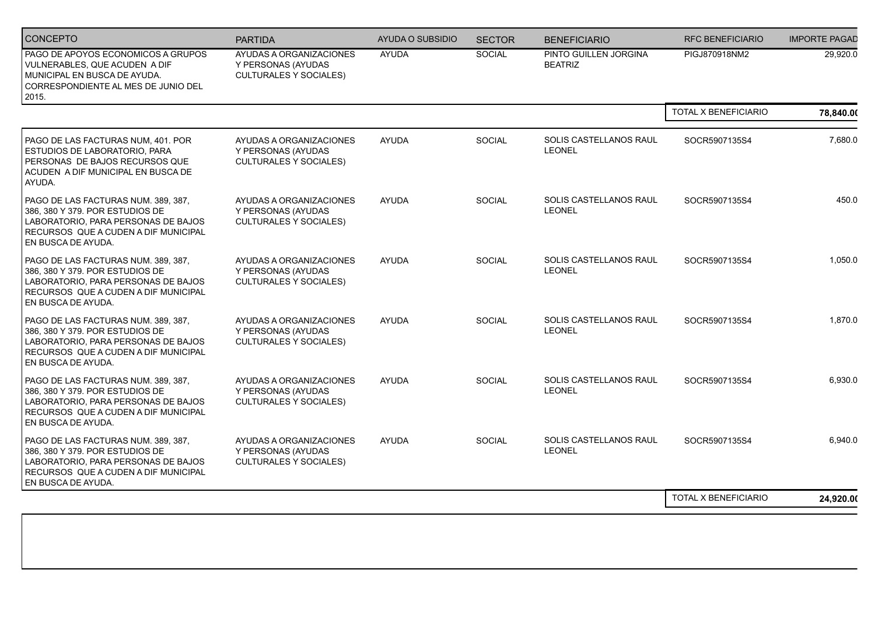| <b>CONCEPTO</b>                                                                                                                                                                | <b>PARTIDA</b>                                                                 | AYUDA O SUBSIDIO | <b>SECTOR</b> | <b>BENEFICIARIO</b>                     | <b>RFC BENEFICIARIO</b>     | <b>IMPORTE PAGAD</b> |
|--------------------------------------------------------------------------------------------------------------------------------------------------------------------------------|--------------------------------------------------------------------------------|------------------|---------------|-----------------------------------------|-----------------------------|----------------------|
| PAGO DE APOYOS ECONOMICOS A GRUPOS<br>VULNERABLES, QUE ACUDEN A DIF<br>  MUNICIPAL EN BUSCA DE AYUDA.<br>CORRESPONDIENTE AL MES DE JUNIO DEL<br>2015.                          | AYUDAS A ORGANIZACIONES<br>Y PERSONAS (AYUDAS<br><b>CULTURALES Y SOCIALES)</b> | <b>AYUDA</b>     | SOCIAL        | PINTO GUILLEN JORGINA<br><b>BEATRIZ</b> | PIGJ870918NM2               | 29,920.0             |
|                                                                                                                                                                                |                                                                                |                  |               |                                         | TOTAL X BENEFICIARIO        | 78,840.00            |
| PAGO DE LAS FACTURAS NUM, 401. POR<br>ESTUDIOS DE LABORATORIO, PARA<br>PERSONAS DE BAJOS RECURSOS QUE<br>ACUDEN A DIF MUNICIPAL EN BUSCA DE<br>AYUDA.                          | AYUDAS A ORGANIZACIONES<br>Y PERSONAS (AYUDAS<br><b>CULTURALES Y SOCIALES)</b> | <b>AYUDA</b>     | <b>SOCIAL</b> | SOLIS CASTELLANOS RAUL<br><b>LEONEL</b> | SOCR5907135S4               | 7,680.0              |
| PAGO DE LAS FACTURAS NUM. 389, 387,<br>386, 380 Y 379. POR ESTUDIOS DE<br>LABORATORIO, PARA PERSONAS DE BAJOS<br>RECURSOS QUE A CUDEN A DIF MUNICIPAL<br>EN BUSCA DE AYUDA.    | AYUDAS A ORGANIZACIONES<br>Y PERSONAS (AYUDAS<br><b>CULTURALES Y SOCIALES)</b> | <b>AYUDA</b>     | <b>SOCIAL</b> | SOLIS CASTELLANOS RAUL<br><b>LEONEL</b> | SOCR5907135S4               | 450.0                |
| PAGO DE LAS FACTURAS NUM. 389, 387,<br>386, 380 Y 379. POR ESTUDIOS DE<br>LABORATORIO. PARA PERSONAS DE BAJOS<br>RECURSOS QUE A CUDEN A DIF MUNICIPAL<br>EN BUSCA DE AYUDA.    | AYUDAS A ORGANIZACIONES<br>Y PERSONAS (AYUDAS<br><b>CULTURALES Y SOCIALES)</b> | <b>AYUDA</b>     | <b>SOCIAL</b> | SOLIS CASTELLANOS RAUL<br><b>LEONEL</b> | SOCR5907135S4               | 1,050.0              |
| PAGO DE LAS FACTURAS NUM. 389, 387,<br>386, 380 Y 379. POR ESTUDIOS DE<br>LABORATORIO, PARA PERSONAS DE BAJOS<br>RECURSOS QUE A CUDEN A DIF MUNICIPAL<br>EN BUSCA DE AYUDA.    | AYUDAS A ORGANIZACIONES<br>Y PERSONAS (AYUDAS<br><b>CULTURALES Y SOCIALES)</b> | <b>AYUDA</b>     | SOCIAL        | SOLIS CASTELLANOS RAUL<br><b>LEONEL</b> | SOCR5907135S4               | 1,870.0              |
| PAGO DE LAS FACTURAS NUM. 389, 387,<br>386, 380 Y 379. POR ESTUDIOS DE<br>  LABORATORIO, PARA PERSONAS DE BAJOS <br>RECURSOS QUE A CUDEN A DIF MUNICIPAL<br>EN BUSCA DE AYUDA. | AYUDAS A ORGANIZACIONES<br>Y PERSONAS (AYUDAS<br><b>CULTURALES Y SOCIALES)</b> | <b>AYUDA</b>     | <b>SOCIAL</b> | SOLIS CASTELLANOS RAUL<br><b>LEONEL</b> | SOCR5907135S4               | 6,930.0              |
| PAGO DE LAS FACTURAS NUM. 389, 387,<br>386, 380 Y 379. POR ESTUDIOS DE<br>  LABORATORIO, PARA PERSONAS DE BAJOS <br>RECURSOS QUE A CUDEN A DIF MUNICIPAL<br>EN BUSCA DE AYUDA. | AYUDAS A ORGANIZACIONES<br>Y PERSONAS (AYUDAS<br><b>CULTURALES Y SOCIALES)</b> | <b>AYUDA</b>     | <b>SOCIAL</b> | SOLIS CASTELLANOS RAUL<br>LEONEL        | SOCR5907135S4               | 6,940.0              |
|                                                                                                                                                                                |                                                                                |                  |               |                                         | <b>TOTAL X BENEFICIARIO</b> | 24.920.00            |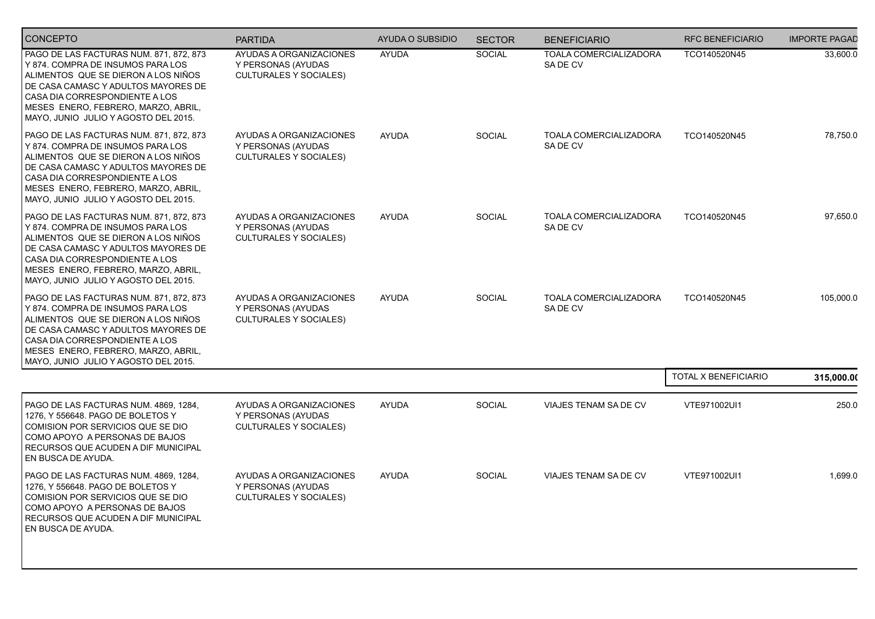| <b>CONCEPTO</b>                                                                                                                                                                                                                                                             | <b>PARTIDA</b>                                                                 | AYUDA O SUBSIDIO | <b>SECTOR</b> | <b>BENEFICIARIO</b>                      | <b>RFC BENEFICIARIO</b>     | <b>IMPORTE PAGAD</b> |
|-----------------------------------------------------------------------------------------------------------------------------------------------------------------------------------------------------------------------------------------------------------------------------|--------------------------------------------------------------------------------|------------------|---------------|------------------------------------------|-----------------------------|----------------------|
| PAGO DE LAS FACTURAS NUM. 871, 872, 873<br>Y 874, COMPRA DE INSUMOS PARA LOS<br>ALIMENTOS QUE SE DIERON A LOS NIÑOS<br>DE CASA CAMASC Y ADULTOS MAYORES DE<br>CASA DIA CORRESPONDIENTE A LOS<br>MESES ENERO, FEBRERO, MARZO, ABRIL,<br>MAYO, JUNIO JULIO Y AGOSTO DEL 2015. | AYUDAS A ORGANIZACIONES<br>Y PERSONAS (AYUDAS<br><b>CULTURALES Y SOCIALES)</b> | <b>AYUDA</b>     | <b>SOCIAL</b> | <b>TOALA COMERCIALIZADORA</b><br>SADE CV | TCO140520N45                | 33,600.0             |
| PAGO DE LAS FACTURAS NUM. 871, 872, 873<br>Y 874. COMPRA DE INSUMOS PARA LOS<br>ALIMENTOS QUE SE DIERON A LOS NIÑOS<br>DE CASA CAMASC Y ADULTOS MAYORES DE<br>CASA DIA CORRESPONDIENTE A LOS<br>MESES ENERO, FEBRERO, MARZO, ABRIL,<br>MAYO, JUNIO JULIO Y AGOSTO DEL 2015. | AYUDAS A ORGANIZACIONES<br>Y PERSONAS (AYUDAS<br><b>CULTURALES Y SOCIALES)</b> | <b>AYUDA</b>     | SOCIAL        | TOALA COMERCIALIZADORA<br>SADE CV        | TCO140520N45                | 78,750.0             |
| PAGO DE LAS FACTURAS NUM. 871, 872, 873<br>Y 874. COMPRA DE INSUMOS PARA LOS<br>ALIMENTOS QUE SE DIERON A LOS NIÑOS<br>DE CASA CAMASC Y ADULTOS MAYORES DE<br>CASA DIA CORRESPONDIENTE A LOS<br>MESES ENERO, FEBRERO, MARZO, ABRIL,<br>MAYO, JUNIO JULIO Y AGOSTO DEL 2015. | AYUDAS A ORGANIZACIONES<br>Y PERSONAS (AYUDAS<br><b>CULTURALES Y SOCIALES)</b> | <b>AYUDA</b>     | <b>SOCIAL</b> | <b>TOALA COMERCIALIZADORA</b><br>SADE CV | TCO140520N45                | 97,650.0             |
| PAGO DE LAS FACTURAS NUM. 871, 872, 873<br>Y 874. COMPRA DE INSUMOS PARA LOS<br>ALIMENTOS QUE SE DIERON A LOS NIÑOS<br>DE CASA CAMASC Y ADULTOS MAYORES DE<br>CASA DIA CORRESPONDIENTE A LOS<br>MESES ENERO, FEBRERO, MARZO, ABRIL,<br>MAYO, JUNIO JULIO Y AGOSTO DEL 2015. | AYUDAS A ORGANIZACIONES<br>Y PERSONAS (AYUDAS<br><b>CULTURALES Y SOCIALES)</b> | <b>AYUDA</b>     | <b>SOCIAL</b> | TOALA COMERCIALIZADORA<br>SADE CV        | TCO140520N45                | 105,000.0            |
|                                                                                                                                                                                                                                                                             |                                                                                |                  |               |                                          | <b>TOTAL X BENEFICIARIO</b> | 315,000.00           |
| PAGO DE LAS FACTURAS NUM. 4869, 1284,<br>1276, Y 556648. PAGO DE BOLETOS Y<br>COMISION POR SERVICIOS QUE SE DIO<br>COMO APOYO A PERSONAS DE BAJOS<br>RECURSOS QUE ACUDEN A DIF MUNICIPAL<br>EN BUSCA DE AYUDA.                                                              | AYUDAS A ORGANIZACIONES<br>Y PERSONAS (AYUDAS<br><b>CULTURALES Y SOCIALES)</b> | <b>AYUDA</b>     | SOCIAL        | VIAJES TENAM SA DE CV                    | VTE971002UI1                | 250.0                |
| PAGO DE LAS FACTURAS NUM. 4869, 1284,<br>1276, Y 556648. PAGO DE BOLETOS Y<br>COMISION POR SERVICIOS QUE SE DIO<br>COMO APOYO A PERSONAS DE BAJOS<br><b>RECURSOS QUE ACUDEN A DIF MUNICIPAL</b><br>EN BUSCA DE AYUDA.                                                       | AYUDAS A ORGANIZACIONES<br>Y PERSONAS (AYUDAS<br><b>CULTURALES Y SOCIALES)</b> | <b>AYUDA</b>     | <b>SOCIAL</b> | VIAJES TENAM SA DE CV                    | VTE971002UI1                | 1,699.0              |